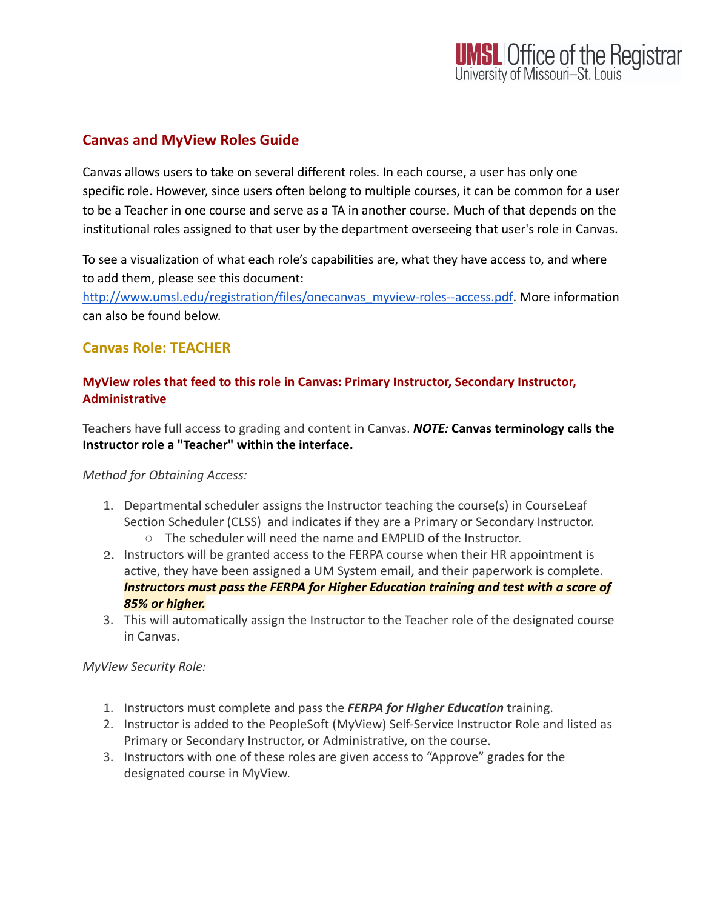# **Canvas and MyView Roles Guide**

Canvas allows users to take on several different roles. In each course, a user has only one specific role. However, since users often belong to multiple courses, it can be common for a user to be a Teacher in one course and serve as a TA in another course. Much of that depends on the institutional roles assigned to that user by the department overseeing that user's role in Canvas.

To see a visualization of what each role's capabilities are, what they have access to, and where to add them, please see this document:

[http://www.umsl.edu/registration/files/onecanvas\\_myview-roles--access.pdf](http://www.umsl.edu/registration/files/onecanvas_myview-roles--access.pdf). More information can also be found below.

# **Canvas Role: TEACHER**

## **MyView roles that feed to this role in Canvas: Primary Instructor, Secondary Instructor, Administrative**

Teachers have full access to grading and content in Canvas. *NOTE:* **Canvas terminology calls the Instructor role a "Teacher" within the interface.**

# *Method for Obtaining Access:*

- 1. Departmental scheduler assigns the Instructor teaching the course(s) in CourseLeaf Section Scheduler (CLSS) and indicates if they are a Primary or Secondary Instructor.
	- The scheduler will need the name and EMPLID of the Instructor.
- 2. Instructors will be granted access to the FERPA course when their HR appointment is active, they have been assigned a UM System email, and their paperwork is complete. *Instructors must pass the FERPA for Higher Education training and test with a score of 85% or higher.*
- 3. This will automatically assign the Instructor to the Teacher role of the designated course in Canvas.

# *MyView Security Role:*

- 1. Instructors must complete and pass the *FERPA for Higher Education* training.
- 2. Instructor is added to the PeopleSoft (MyView) Self-Service Instructor Role and listed as Primary or Secondary Instructor, or Administrative, on the course.
- 3. Instructors with one of these roles are given access to "Approve" grades for the designated course in MyView.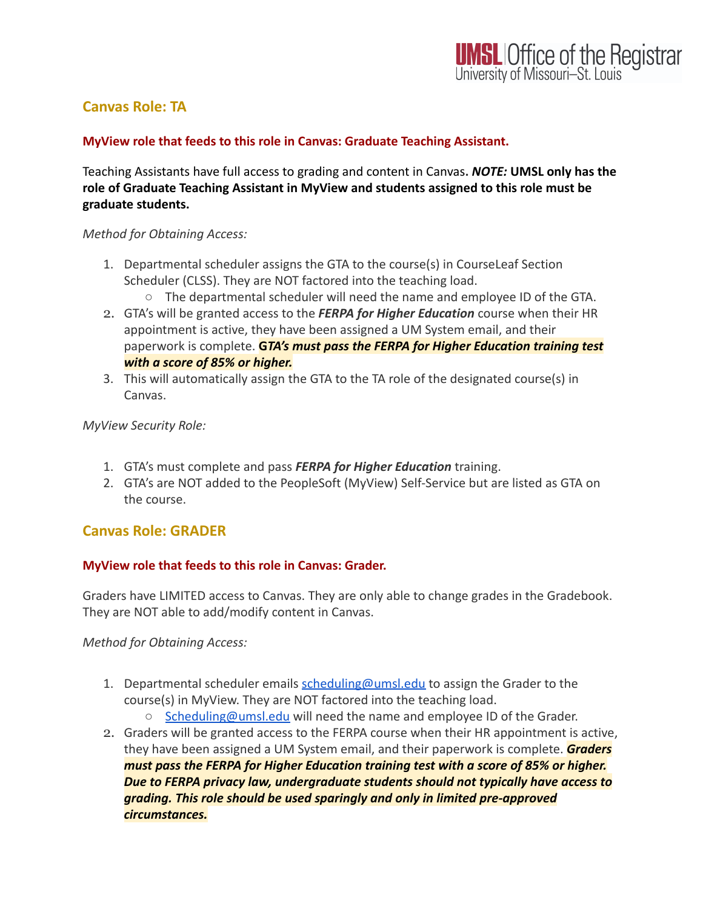# **Canvas Role: TA**

#### **MyView role that feeds to this role in Canvas: Graduate Teaching Assistant.**

Teaching Assistants have full access to grading and content in Canvas**.** *NOTE:* **UMSL only has the role of Graduate Teaching Assistant in MyView and students assigned to this role must be graduate students.**

#### *Method for Obtaining Access:*

- 1. Departmental scheduler assigns the GTA to the course(s) in CourseLeaf Section Scheduler (CLSS). They are NOT factored into the teaching load.
	- The departmental scheduler will need the name and employee ID of the GTA.
- 2. GTA's will be granted access to the *FERPA for Higher Education* course when their HR appointment is active, they have been assigned a UM System email, and their paperwork is complete. **G***TA's must pass the FERPA for Higher Education training test with a score of 85% or higher.*
- 3. This will automatically assign the GTA to the TA role of the designated course(s) in Canvas.

#### *MyView Security Role:*

- 1. GTA's must complete and pass *FERPA for Higher Education* training.
- 2. GTA's are NOT added to the PeopleSoft (MyView) Self-Service but are listed as GTA on the course.

## **Canvas Role: GRADER**

## **MyView role that feeds to this role in Canvas: Grader.**

Graders have LIMITED access to Canvas. They are only able to change grades in the Gradebook. They are NOT able to add/modify content in Canvas.

*Method for Obtaining Access:*

- 1. Departmental scheduler emails [scheduling@umsl.edu](mailto:scheduling@umsl.edu) to assign the Grader to the course(s) in MyView. They are NOT factored into the teaching load.
	- [Scheduling@umsl.edu](mailto:Scheduling@umsl.edu) will need the name and employee ID of the Grader.
- 2. Graders will be granted access to the FERPA course when their HR appointment is active, they have been assigned a UM System email, and their paperwork is complete. *Graders must pass the FERPA for Higher Education training test with a score of 85% or higher. Due to FERPA privacy law, undergraduate students should not typically have access to grading. This role should be used sparingly and only in limited pre-approved circumstances.*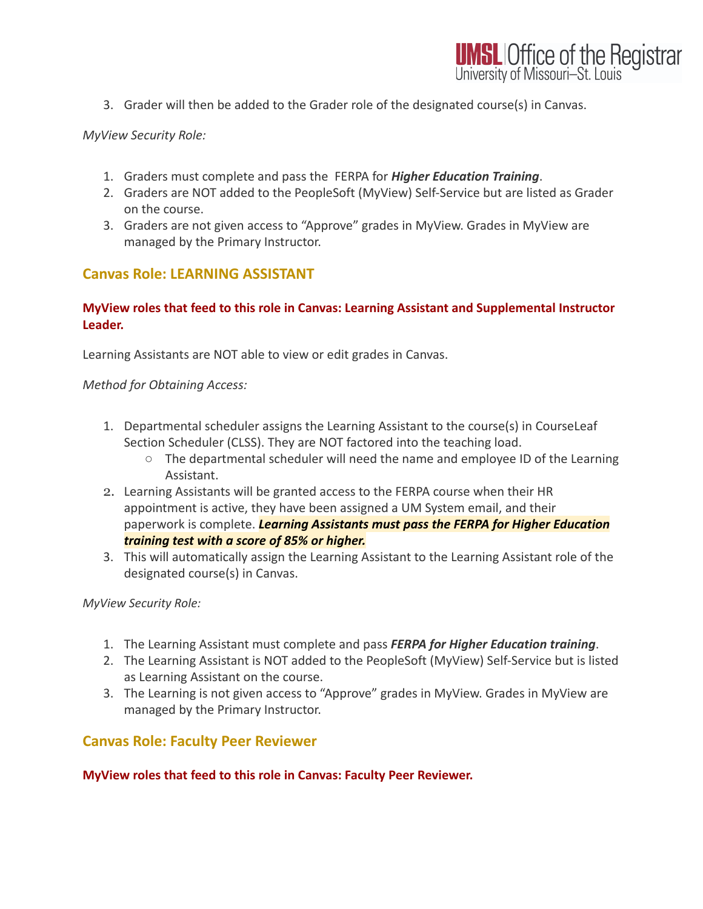3. Grader will then be added to the Grader role of the designated course(s) in Canvas.

### *MyView Security Role:*

- 1. Graders must complete and pass the FERPA for *Higher Education Training*.
- 2. Graders are NOT added to the PeopleSoft (MyView) Self-Service but are listed as Grader on the course.
- 3. Graders are not given access to "Approve" grades in MyView. Grades in MyView are managed by the Primary Instructor.

# **Canvas Role: LEARNING ASSISTANT**

### **MyView roles that feed to this role in Canvas: Learning Assistant and Supplemental Instructor Leader.**

Learning Assistants are NOT able to view or edit grades in Canvas.

*Method for Obtaining Access:*

- 1. Departmental scheduler assigns the Learning Assistant to the course(s) in CourseLeaf Section Scheduler (CLSS). They are NOT factored into the teaching load.
	- The departmental scheduler will need the name and employee ID of the Learning Assistant.
- 2. Learning Assistants will be granted access to the FERPA course when their HR appointment is active, they have been assigned a UM System email, and their paperwork is complete. *Learning Assistants must pass the FERPA for Higher Education training test with a score of 85% or higher.*
- 3. This will automatically assign the Learning Assistant to the Learning Assistant role of the designated course(s) in Canvas.

*MyView Security Role:*

- 1. The Learning Assistant must complete and pass *FERPA for Higher Education training*.
- 2. The Learning Assistant is NOT added to the PeopleSoft (MyView) Self-Service but is listed as Learning Assistant on the course.
- 3. The Learning is not given access to "Approve" grades in MyView. Grades in MyView are managed by the Primary Instructor.

## **Canvas Role: Faculty Peer Reviewer**

#### **MyView roles that feed to this role in Canvas: Faculty Peer Reviewer.**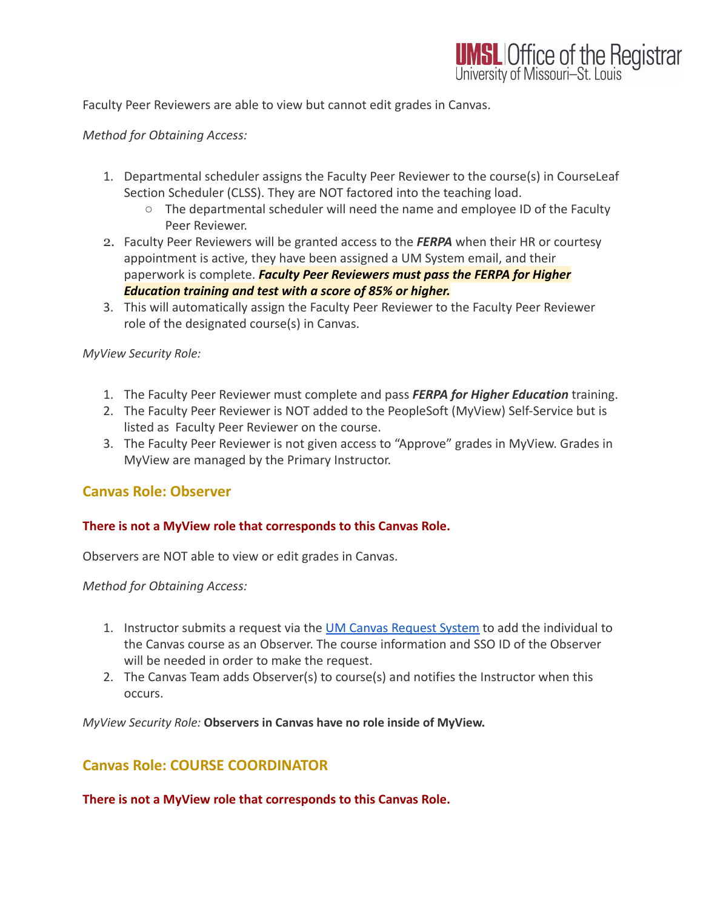Faculty Peer Reviewers are able to view but cannot edit grades in Canvas.

#### *Method for Obtaining Access:*

- 1. Departmental scheduler assigns the Faculty Peer Reviewer to the course(s) in CourseLeaf Section Scheduler (CLSS). They are NOT factored into the teaching load.
	- $\circ$  The departmental scheduler will need the name and employee ID of the Faculty Peer Reviewer.
- 2. Faculty Peer Reviewers will be granted access to the *FERPA* when their HR or courtesy appointment is active, they have been assigned a UM System email, and their paperwork is complete. *Faculty Peer Reviewers must pass the FERPA for Higher Education training and test with a score of 85% or higher.*
- 3. This will automatically assign the Faculty Peer Reviewer to the Faculty Peer Reviewer role of the designated course(s) in Canvas.

#### *MyView Security Role:*

- 1. The Faculty Peer Reviewer must complete and pass *FERPA for Higher Education* training.
- 2. The Faculty Peer Reviewer is NOT added to the PeopleSoft (MyView) Self-Service but is listed as Faculty Peer Reviewer on the course.
- 3. The Faculty Peer Reviewer is not given access to "Approve" grades in MyView. Grades in MyView are managed by the Primary Instructor.

## **Canvas Role: Observer**

#### **There is not a MyView role that corresponds to this Canvas Role.**

Observers are NOT able to view or edit grades in Canvas.

*Method for Obtaining Access:*

- 1. Instructor submits a request via the [UM Canvas Request](https://canvasrequest.umsystem.edu/) System to add the individual to the Canvas course as an Observer. The course information and SSO ID of the Observer will be needed in order to make the request.
- 2. The Canvas Team adds Observer(s) to course(s) and notifies the Instructor when this occurs.

*MyView Security Role:* **Observers in Canvas have no role inside of MyView.**

## **Canvas Role: COURSE COORDINATOR**

**There is not a MyView role that corresponds to this Canvas Role.**